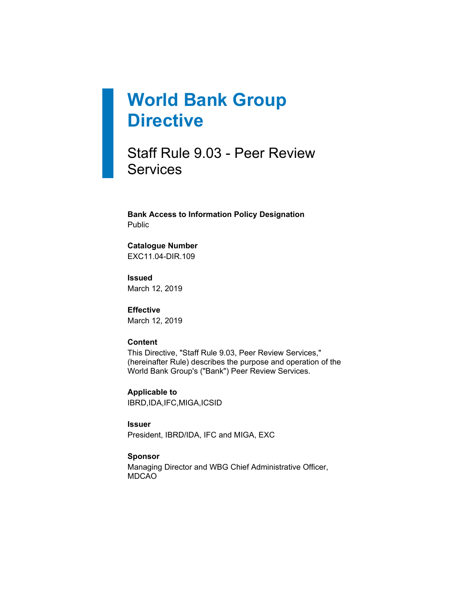# **World Bank Group Directive**

Staff Rule 9.03 - Peer Review **Services** 

**Bank Access to Information Policy Designation** Public

**Catalogue Number** EXC11.04-DIR.109

**Issued** March 12, 2019

**Effective** March 12, 2019

#### **Content**

This Directive, "Staff Rule 9.03, Peer Review Services," (hereinafter Rule) describes the purpose and operation of the World Bank Group's ("Bank") Peer Review Services.

**Applicable to** IBRD,IDA,IFC,MIGA,ICSID

#### **Issuer**

President, IBRD/IDA, IFC and MIGA, EXC

#### **Sponsor**

Managing Director and WBG Chief Administrative Officer, MDCAO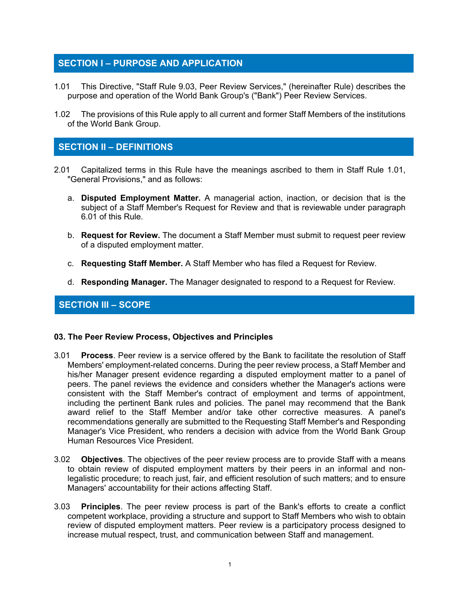# **SECTION I – PURPOSE AND APPLICATION**

- 1.01 This Directive, "Staff Rule 9.03, Peer Review Services," (hereinafter Rule) describes the purpose and operation of the World Bank Group's ("Bank") Peer Review Services.
- 1.02 The provisions of this Rule apply to all current and former Staff Members of the institutions of the World Bank Group.

# **SECTION II – DEFINITIONS**

- 2.01 Capitalized terms in this Rule have the meanings ascribed to them in Staff Rule 1.01, "General Provisions," and as follows:
	- a. **Disputed Employment Matter.** A managerial action, inaction, or decision that is the subject of a Staff Member's Request for Review and that is reviewable under paragraph 6.01 of this Rule.
	- b. **Request for Review.** The document a Staff Member must submit to request peer review of a disputed employment matter.
	- c. **Requesting Staff Member.** A Staff Member who has filed a Request for Review.
	- d. **Responding Manager.** The Manager designated to respond to a Request for Review.

## **SECTION III – SCOPE**

#### **03. The Peer Review Process, Objectives and Principles**

- 3.01 **Process**. Peer review is a service offered by the Bank to facilitate the resolution of Staff Members' employment-related concerns. During the peer review process, a Staff Member and his/her Manager present evidence regarding a disputed employment matter to a panel of peers. The panel reviews the evidence and considers whether the Manager's actions were consistent with the Staff Member's contract of employment and terms of appointment, including the pertinent Bank rules and policies. The panel may recommend that the Bank award relief to the Staff Member and/or take other corrective measures. A panel's recommendations generally are submitted to the Requesting Staff Member's and Responding Manager's Vice President, who renders a decision with advice from the World Bank Group Human Resources Vice President.
- 3.02 **Objectives**. The objectives of the peer review process are to provide Staff with a means to obtain review of disputed employment matters by their peers in an informal and nonlegalistic procedure; to reach just, fair, and efficient resolution of such matters; and to ensure Managers' accountability for their actions affecting Staff.
- 3.03 **Principles**. The peer review process is part of the Bank's efforts to create a conflict competent workplace, providing a structure and support to Staff Members who wish to obtain review of disputed employment matters. Peer review is a participatory process designed to increase mutual respect, trust, and communication between Staff and management.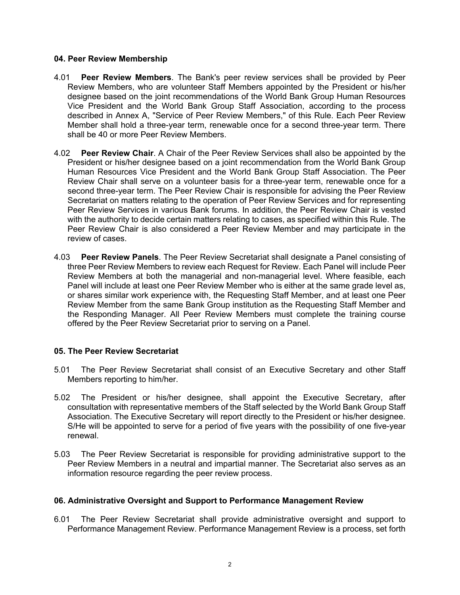#### **04. Peer Review Membership**

- 4.01 **Peer Review Members**. The Bank's peer review services shall be provided by Peer Review Members, who are volunteer Staff Members appointed by the President or his/her designee based on the joint recommendations of the World Bank Group Human Resources Vice President and the World Bank Group Staff Association, according to the process described in Annex A, "Service of Peer Review Members," of this Rule. Each Peer Review Member shall hold a three-year term, renewable once for a second three-year term. There shall be 40 or more Peer Review Members.
- 4.02 **Peer Review Chair**. A Chair of the Peer Review Services shall also be appointed by the President or his/her designee based on a joint recommendation from the World Bank Group Human Resources Vice President and the World Bank Group Staff Association. The Peer Review Chair shall serve on a volunteer basis for a three-year term, renewable once for a second three-year term. The Peer Review Chair is responsible for advising the Peer Review Secretariat on matters relating to the operation of Peer Review Services and for representing Peer Review Services in various Bank forums. In addition, the Peer Review Chair is vested with the authority to decide certain matters relating to cases, as specified within this Rule. The Peer Review Chair is also considered a Peer Review Member and may participate in the review of cases.
- 4.03 **Peer Review Panels**. The Peer Review Secretariat shall designate a Panel consisting of three Peer Review Members to review each Request for Review. Each Panel will include Peer Review Members at both the managerial and non-managerial level. Where feasible, each Panel will include at least one Peer Review Member who is either at the same grade level as, or shares similar work experience with, the Requesting Staff Member, and at least one Peer Review Member from the same Bank Group institution as the Requesting Staff Member and the Responding Manager. All Peer Review Members must complete the training course offered by the Peer Review Secretariat prior to serving on a Panel.

#### **05. The Peer Review Secretariat**

- 5.01 The Peer Review Secretariat shall consist of an Executive Secretary and other Staff Members reporting to him/her.
- 5.02 The President or his/her designee, shall appoint the Executive Secretary, after consultation with representative members of the Staff selected by the World Bank Group Staff Association. The Executive Secretary will report directly to the President or his/her designee. S/He will be appointed to serve for a period of five years with the possibility of one five-year renewal.
- 5.03 The Peer Review Secretariat is responsible for providing administrative support to the Peer Review Members in a neutral and impartial manner. The Secretariat also serves as an information resource regarding the peer review process.

#### **06. Administrative Oversight and Support to Performance Management Review**

6.01 The Peer Review Secretariat shall provide administrative oversight and support to Performance Management Review. Performance Management Review is a process, set forth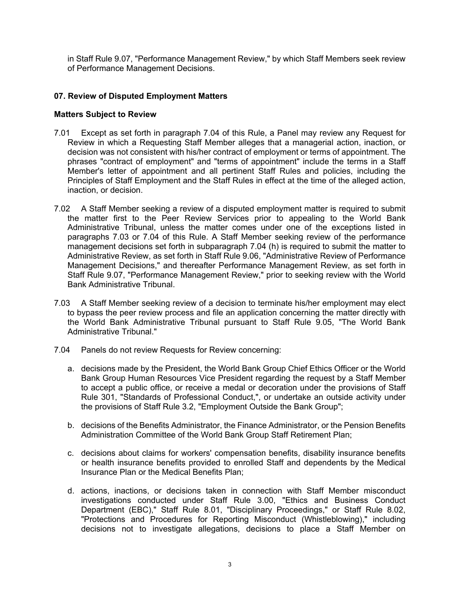in Staff Rule 9.07, "Performance Management Review," by which Staff Members seek review of Performance Management Decisions.

#### **07. Review of Disputed Employment Matters**

#### **Matters Subject to Review**

- 7.01 Except as set forth in paragraph 7.04 of this Rule, a Panel may review any Request for Review in which a Requesting Staff Member alleges that a managerial action, inaction, or decision was not consistent with his/her contract of employment or terms of appointment. The phrases "contract of employment" and "terms of appointment" include the terms in a Staff Member's letter of appointment and all pertinent Staff Rules and policies, including the Principles of Staff Employment and the Staff Rules in effect at the time of the alleged action, inaction, or decision.
- 7.02 A Staff Member seeking a review of a disputed employment matter is required to submit the matter first to the Peer Review Services prior to appealing to the World Bank Administrative Tribunal, unless the matter comes under one of the exceptions listed in paragraphs 7.03 or 7.04 of this Rule. A Staff Member seeking review of the performance management decisions set forth in subparagraph 7.04 (h) is required to submit the matter to Administrative Review, as set forth in Staff Rule 9.06, "Administrative Review of Performance Management Decisions," and thereafter Performance Management Review, as set forth in Staff Rule 9.07, "Performance Management Review," prior to seeking review with the World Bank Administrative Tribunal.
- 7.03 A Staff Member seeking review of a decision to terminate his/her employment may elect to bypass the peer review process and file an application concerning the matter directly with the World Bank Administrative Tribunal pursuant to Staff Rule 9.05, "The World Bank Administrative Tribunal."
- 7.04 Panels do not review Requests for Review concerning:
	- a. decisions made by the President, the World Bank Group Chief Ethics Officer or the World Bank Group Human Resources Vice President regarding the request by a Staff Member to accept a public office, or receive a medal or decoration under the provisions of Staff Rule 301, "Standards of Professional Conduct,", or undertake an outside activity under the provisions of Staff Rule 3.2, "Employment Outside the Bank Group";
	- b. decisions of the Benefits Administrator, the Finance Administrator, or the Pension Benefits Administration Committee of the World Bank Group Staff Retirement Plan;
	- c. decisions about claims for workers' compensation benefits, disability insurance benefits or health insurance benefits provided to enrolled Staff and dependents by the Medical Insurance Plan or the Medical Benefits Plan;
	- d. actions, inactions, or decisions taken in connection with Staff Member misconduct investigations conducted under Staff Rule 3.00, "Ethics and Business Conduct Department (EBC)," Staff Rule 8.01, "Disciplinary Proceedings," or Staff Rule 8.02, "Protections and Procedures for Reporting Misconduct (Whistleblowing)," including decisions not to investigate allegations, decisions to place a Staff Member on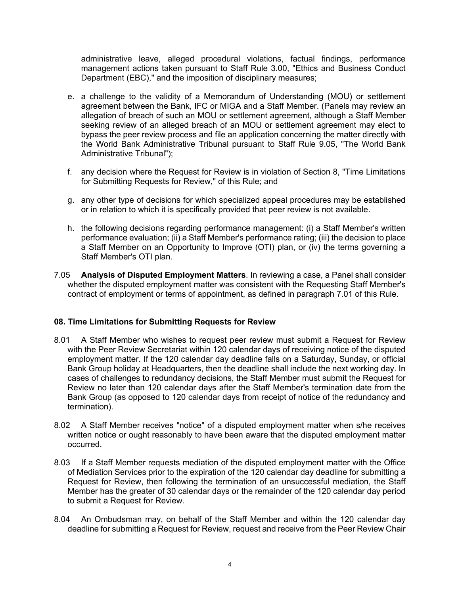administrative leave, alleged procedural violations, factual findings, performance management actions taken pursuant to Staff Rule 3.00, "Ethics and Business Conduct Department (EBC)," and the imposition of disciplinary measures;

- e. a challenge to the validity of a Memorandum of Understanding (MOU) or settlement agreement between the Bank, IFC or MIGA and a Staff Member. (Panels may review an allegation of breach of such an MOU or settlement agreement, although a Staff Member seeking review of an alleged breach of an MOU or settlement agreement may elect to bypass the peer review process and file an application concerning the matter directly with the World Bank Administrative Tribunal pursuant to Staff Rule 9.05, "The World Bank Administrative Tribunal");
- f. any decision where the Request for Review is in violation of Section 8, "Time Limitations for Submitting Requests for Review," of this Rule; and
- g. any other type of decisions for which specialized appeal procedures may be established or in relation to which it is specifically provided that peer review is not available.
- h. the following decisions regarding performance management: (i) a Staff Member's written performance evaluation; (ii) a Staff Member's performance rating; (iii) the decision to place a Staff Member on an Opportunity to Improve (OTI) plan, or (iv) the terms governing a Staff Member's OTI plan.
- 7.05 **Analysis of Disputed Employment Matters**. In reviewing a case, a Panel shall consider whether the disputed employment matter was consistent with the Requesting Staff Member's contract of employment or terms of appointment, as defined in paragraph 7.01 of this Rule.

#### **08. Time Limitations for Submitting Requests for Review**

- 8.01 A Staff Member who wishes to request peer review must submit a Request for Review with the Peer Review Secretariat within 120 calendar days of receiving notice of the disputed employment matter. If the 120 calendar day deadline falls on a Saturday, Sunday, or official Bank Group holiday at Headquarters, then the deadline shall include the next working day. In cases of challenges to redundancy decisions, the Staff Member must submit the Request for Review no later than 120 calendar days after the Staff Member's termination date from the Bank Group (as opposed to 120 calendar days from receipt of notice of the redundancy and termination).
- 8.02 A Staff Member receives "notice" of a disputed employment matter when s/he receives written notice or ought reasonably to have been aware that the disputed employment matter occurred.
- 8.03 If a Staff Member requests mediation of the disputed employment matter with the Office of Mediation Services prior to the expiration of the 120 calendar day deadline for submitting a Request for Review, then following the termination of an unsuccessful mediation, the Staff Member has the greater of 30 calendar days or the remainder of the 120 calendar day period to submit a Request for Review.
- 8.04 An Ombudsman may, on behalf of the Staff Member and within the 120 calendar day deadline for submitting a Request for Review, request and receive from the Peer Review Chair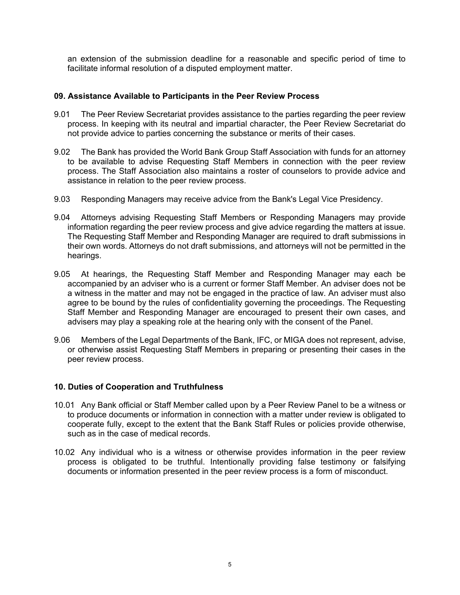an extension of the submission deadline for a reasonable and specific period of time to facilitate informal resolution of a disputed employment matter.

#### **09. Assistance Available to Participants in the Peer Review Process**

- 9.01 The Peer Review Secretariat provides assistance to the parties regarding the peer review process. In keeping with its neutral and impartial character, the Peer Review Secretariat do not provide advice to parties concerning the substance or merits of their cases.
- 9.02 The Bank has provided the World Bank Group Staff Association with funds for an attorney to be available to advise Requesting Staff Members in connection with the peer review process. The Staff Association also maintains a roster of counselors to provide advice and assistance in relation to the peer review process.
- 9.03 Responding Managers may receive advice from the Bank's Legal Vice Presidency.
- 9.04 Attorneys advising Requesting Staff Members or Responding Managers may provide information regarding the peer review process and give advice regarding the matters at issue. The Requesting Staff Member and Responding Manager are required to draft submissions in their own words. Attorneys do not draft submissions, and attorneys will not be permitted in the hearings.
- 9.05 At hearings, the Requesting Staff Member and Responding Manager may each be accompanied by an adviser who is a current or former Staff Member. An adviser does not be a witness in the matter and may not be engaged in the practice of law. An adviser must also agree to be bound by the rules of confidentiality governing the proceedings. The Requesting Staff Member and Responding Manager are encouraged to present their own cases, and advisers may play a speaking role at the hearing only with the consent of the Panel.
- 9.06 Members of the Legal Departments of the Bank, IFC, or MIGA does not represent, advise, or otherwise assist Requesting Staff Members in preparing or presenting their cases in the peer review process.

#### **10. Duties of Cooperation and Truthfulness**

- 10.01 Any Bank official or Staff Member called upon by a Peer Review Panel to be a witness or to produce documents or information in connection with a matter under review is obligated to cooperate fully, except to the extent that the Bank Staff Rules or policies provide otherwise, such as in the case of medical records.
- 10.02 Any individual who is a witness or otherwise provides information in the peer review process is obligated to be truthful. Intentionally providing false testimony or falsifying documents or information presented in the peer review process is a form of misconduct.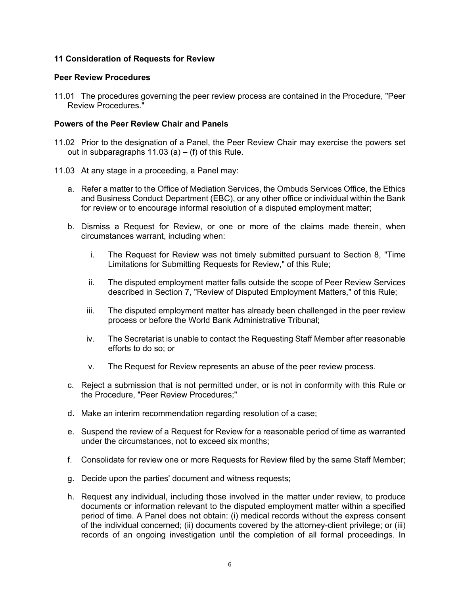#### **11 Consideration of Requests for Review**

#### **Peer Review Procedures**

11.01 The procedures governing the peer review process are contained in the Procedure, "Peer Review Procedures."

#### **Powers of the Peer Review Chair and Panels**

- 11.02 Prior to the designation of a Panel, the Peer Review Chair may exercise the powers set out in subparagraphs  $11.03$  (a) – (f) of this Rule.
- 11.03 At any stage in a proceeding, a Panel may:
	- a. Refer a matter to the Office of Mediation Services, the Ombuds Services Office, the Ethics and Business Conduct Department (EBC), or any other office or individual within the Bank for review or to encourage informal resolution of a disputed employment matter;
	- b. Dismiss a Request for Review, or one or more of the claims made therein, when circumstances warrant, including when:
		- i. The Request for Review was not timely submitted pursuant to Section 8, "Time Limitations for Submitting Requests for Review," of this Rule;
		- ii. The disputed employment matter falls outside the scope of Peer Review Services described in Section 7, "Review of Disputed Employment Matters," of this Rule;
		- iii. The disputed employment matter has already been challenged in the peer review process or before the World Bank Administrative Tribunal;
		- iv. The Secretariat is unable to contact the Requesting Staff Member after reasonable efforts to do so; or
		- v. The Request for Review represents an abuse of the peer review process.
	- c. Reject a submission that is not permitted under, or is not in conformity with this Rule or the Procedure, "Peer Review Procedures;"
	- d. Make an interim recommendation regarding resolution of a case;
	- e. Suspend the review of a Request for Review for a reasonable period of time as warranted under the circumstances, not to exceed six months;
	- f. Consolidate for review one or more Requests for Review filed by the same Staff Member;
	- g. Decide upon the parties' document and witness requests;
	- h. Request any individual, including those involved in the matter under review, to produce documents or information relevant to the disputed employment matter within a specified period of time. A Panel does not obtain: (i) medical records without the express consent of the individual concerned; (ii) documents covered by the attorney-client privilege; or (iii) records of an ongoing investigation until the completion of all formal proceedings. In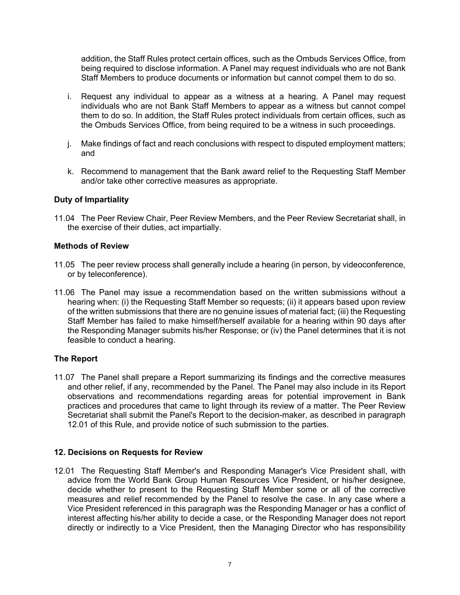addition, the Staff Rules protect certain offices, such as the Ombuds Services Office, from being required to disclose information. A Panel may request individuals who are not Bank Staff Members to produce documents or information but cannot compel them to do so.

- i. Request any individual to appear as a witness at a hearing. A Panel may request individuals who are not Bank Staff Members to appear as a witness but cannot compel them to do so. In addition, the Staff Rules protect individuals from certain offices, such as the Ombuds Services Office, from being required to be a witness in such proceedings.
- j. Make findings of fact and reach conclusions with respect to disputed employment matters; and
- k. Recommend to management that the Bank award relief to the Requesting Staff Member and/or take other corrective measures as appropriate.

#### **Duty of Impartiality**

11.04 The Peer Review Chair, Peer Review Members, and the Peer Review Secretariat shall, in the exercise of their duties, act impartially.

#### **Methods of Review**

- 11.05 The peer review process shall generally include a hearing (in person, by videoconference, or by teleconference).
- 11.06 The Panel may issue a recommendation based on the written submissions without a hearing when: (i) the Requesting Staff Member so requests; (ii) it appears based upon review of the written submissions that there are no genuine issues of material fact; (iii) the Requesting Staff Member has failed to make himself/herself available for a hearing within 90 days after the Responding Manager submits his/her Response; or (iv) the Panel determines that it is not feasible to conduct a hearing.

#### **The Report**

11.07 The Panel shall prepare a Report summarizing its findings and the corrective measures and other relief, if any, recommended by the Panel. The Panel may also include in its Report observations and recommendations regarding areas for potential improvement in Bank practices and procedures that came to light through its review of a matter. The Peer Review Secretariat shall submit the Panel's Report to the decision-maker, as described in paragraph 12.01 of this Rule, and provide notice of such submission to the parties.

#### **12. Decisions on Requests for Review**

12.01 The Requesting Staff Member's and Responding Manager's Vice President shall, with advice from the World Bank Group Human Resources Vice President, or his/her designee, decide whether to present to the Requesting Staff Member some or all of the corrective measures and relief recommended by the Panel to resolve the case. In any case where a Vice President referenced in this paragraph was the Responding Manager or has a conflict of interest affecting his/her ability to decide a case, or the Responding Manager does not report directly or indirectly to a Vice President, then the Managing Director who has responsibility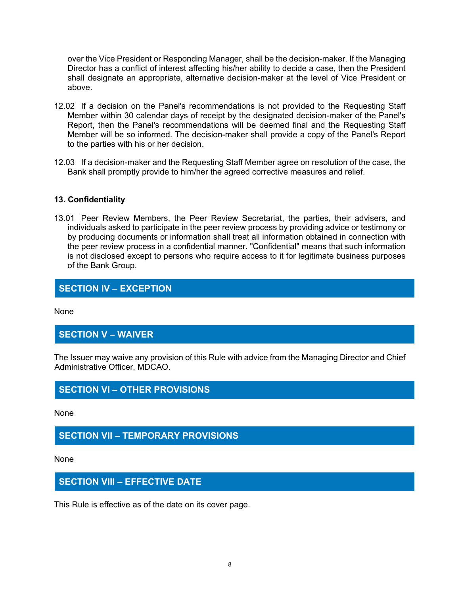over the Vice President or Responding Manager, shall be the decision-maker. If the Managing Director has a conflict of interest affecting his/her ability to decide a case, then the President shall designate an appropriate, alternative decision-maker at the level of Vice President or above.

- 12.02 If a decision on the Panel's recommendations is not provided to the Requesting Staff Member within 30 calendar days of receipt by the designated decision-maker of the Panel's Report, then the Panel's recommendations will be deemed final and the Requesting Staff Member will be so informed. The decision-maker shall provide a copy of the Panel's Report to the parties with his or her decision.
- 12.03 If a decision-maker and the Requesting Staff Member agree on resolution of the case, the Bank shall promptly provide to him/her the agreed corrective measures and relief.

#### **13. Confidentiality**

13.01 Peer Review Members, the Peer Review Secretariat, the parties, their advisers, and individuals asked to participate in the peer review process by providing advice or testimony or by producing documents or information shall treat all information obtained in connection with the peer review process in a confidential manner. "Confidential" means that such information is not disclosed except to persons who require access to it for legitimate business purposes of the Bank Group.

## **SECTION IV – EXCEPTION**

None

## **SECTION V – WAIVER**

The Issuer may waive any provision of this Rule with advice from the Managing Director and Chief Administrative Officer, MDCAO.

## **SECTION VI – OTHER PROVISIONS**

None

## **SECTION VII – TEMPORARY PROVISIONS**

None

## **SECTION VIII – EFFECTIVE DATE**

This Rule is effective as of the date on its cover page.